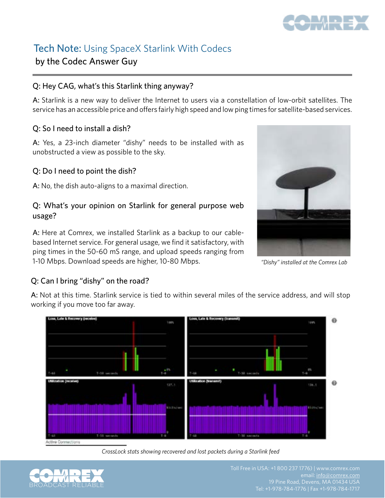

## Tech Note: Using SpaceX Starlink With Codecs by the Codec Answer Guy

#### Q: Hey CAG, what's this Starlink thing anyway?

A: Starlink is a new way to deliver the Internet to users via a constellation of low-orbit satellites. The service has an accessible price and offers fairly high speed and low ping times for satellite-based services.

#### Q: So I need to install a dish?

A: Yes, a 23-inch diameter "dishy" needs to be installed with as unobstructed a view as possible to the sky.

#### Q: Do I need to point the dish?

A: No, the dish auto-aligns to a maximal direction.

#### Q: What's your opinion on Starlink for general purpose web usage?

A: Here at Comrex, we installed Starlink as a backup to our cablebased Internet service. For general usage, we find it satisfactory, with ping times in the 50-60 mS range, and upload speeds ranging from 1-10 Mbps. Download speeds are higher, 10-80 Mbps.



*"Dishy" installed at the Comrex Lab*

### Q: Can I bring "dishy" on the road?

A: Not at this time. Starlink service is tied to within several miles of the service address, and will stop working if you move too far away.



*CrossLock stats showing recovered and lost packets during a Starlink feed*



email: [info@comrex.com](mailto:info@comrex.com)